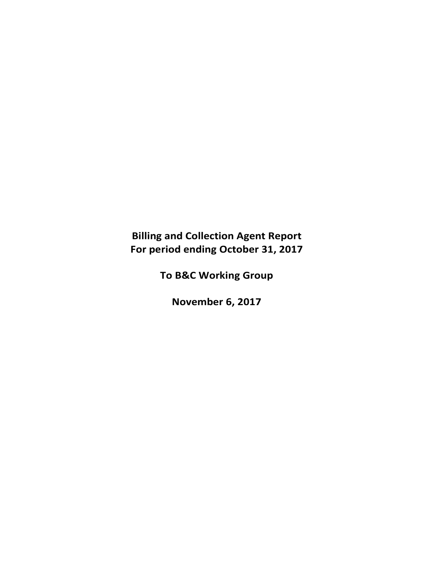**Billing and Collection Agent Report For period ending October 31, 2017**

**To B&C Working Group**

**November 6, 2017**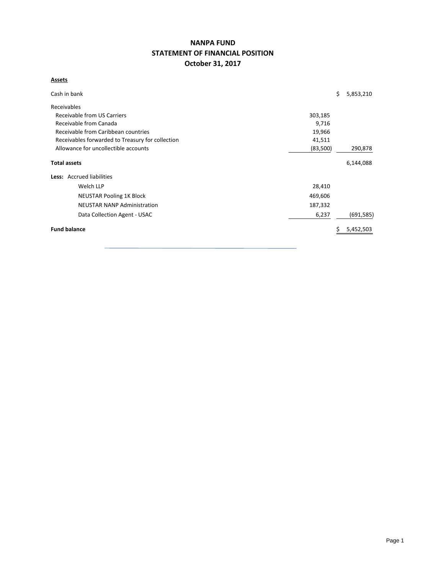## **NANPA FUND STATEMENT OF FINANCIAL POSITION October 31, 2017**

### **Assets**

| Cash in bank                                               |         | \$ | 5,853,210  |  |  |  |  |  |
|------------------------------------------------------------|---------|----|------------|--|--|--|--|--|
| Receivables                                                |         |    |            |  |  |  |  |  |
| Receivable from US Carriers<br>303,185                     |         |    |            |  |  |  |  |  |
| Receivable from Canada<br>9,716                            |         |    |            |  |  |  |  |  |
| Receivable from Caribbean countries<br>19,966              |         |    |            |  |  |  |  |  |
| Receivables forwarded to Treasury for collection<br>41,511 |         |    |            |  |  |  |  |  |
| Allowance for uncollectible accounts<br>(83,500)           |         |    |            |  |  |  |  |  |
| <b>Total assets</b>                                        |         |    | 6,144,088  |  |  |  |  |  |
| Less: Accrued liabilities                                  |         |    |            |  |  |  |  |  |
| Welch LLP                                                  | 28,410  |    |            |  |  |  |  |  |
| <b>NEUSTAR Pooling 1K Block</b>                            | 469,606 |    |            |  |  |  |  |  |
| <b>NEUSTAR NANP Administration</b>                         | 187,332 |    |            |  |  |  |  |  |
| Data Collection Agent - USAC                               | 6,237   |    | (691, 585) |  |  |  |  |  |
| <b>Fund balance</b>                                        |         |    | 5,452,503  |  |  |  |  |  |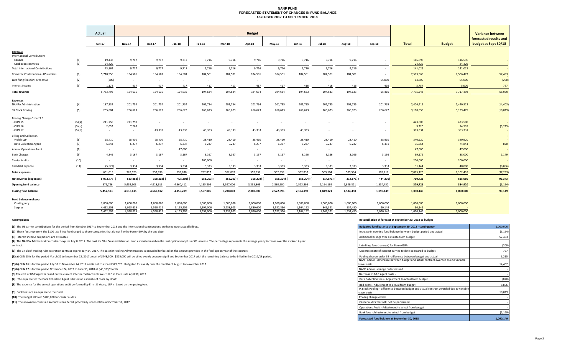#### **NANP FUND FORECASTED STATEMENT OF CHANGES IN FUND BALANCE OCTOBER 2017 TO SEPTEMBER 2018**

|                                            |            | Actual           |                 |                 |            |           |               | <b>Budget</b> |                        |               |               |               |           |                   |                   | Variance between       |
|--------------------------------------------|------------|------------------|-----------------|-----------------|------------|-----------|---------------|---------------|------------------------|---------------|---------------|---------------|-----------|-------------------|-------------------|------------------------|
|                                            |            |                  |                 |                 |            |           |               |               |                        |               |               |               |           |                   |                   | forecasted results and |
|                                            |            | Oct-17           | <b>Nov-17</b>   | <b>Dec-17</b>   | Jan-18     | Feb-18    | <b>Mar-18</b> | Apr-18        | <b>May-18</b>          | <b>Jun-18</b> | <b>Jul-18</b> | <b>Aug-18</b> | $Sep-18$  | <b>Total</b>      | <b>Budget</b>     | budget at Sept 30/18   |
| Revenue                                    |            |                  |                 |                 |            |           |               |               |                        |               |               |               |           |                   |                   |                        |
| <b>International Contributions</b>         |            |                  |                 |                 |            |           |               |               |                        |               |               |               |           |                   |                   |                        |
| Canada<br>Caribbean countries              | (1)<br>(1) | 19,433<br>24,429 | 9,717<br>$\sim$ | 9,717<br>$\sim$ | 9,717      | 9,716     | 9,716         | 9,716         | 9,716<br>$\sim$ $\sim$ | 9,716         | 9,716         | 9,716         |           | 116,596<br>24,429 | 116,596<br>24,429 |                        |
| <b>Total International Contributions</b>   |            | 43,862           | 9,717           | 9,717           | 9,717      | 9,716     | 9,716         | 9,716         | 9,716                  | 9,716         | 9,716         | 9,716         | $\sim$    | 141,025           | 141,025           |                        |
| Domestic Contributions - US carriers       | (1)        | 5,718,956        | 184,501         | 184,501         | 184,501    | 184,501   | 184,501       | 184,501       | 184,501                | 184,501       | 184,501       | 184,501       |           | 7,563,966         | 7,506,473         | 57,493                 |
| Late filing fees for Form 499A             | (2)        | (200)            | $\sim$          | $\sim$          | $\sim$     | $\sim$    | $\sim$        | $\sim$        | $\sim$                 | $\sim$        | $\sim$        | $\sim$        | 65,000    | 64,800            | 65,000            | (200)                  |
| Interest income                            | (3)        | 1,174            | 417             | 417             | 417        | 417       | 417           | 417           | 417                    | 416           | 416           | 416           | 416       | 5,757             | 5,000             | 757                    |
| <b>Total revenue</b>                       |            | 5,763,792        | 194,635         | 194,635         | 194,635    | 194,634   | 194,634       | 194,634       | 194,634                | 194,633       | 194,633       | 194,633       | 65,416    | 7,775,548         | 7,717,498         | 58,050                 |
| <b>Expenses</b>                            |            |                  |                 |                 |            |           |               |               |                        |               |               |               |           |                   |                   |                        |
| <b>NANPA Administration</b>                | (4)        | 187,332          | 201,734         | 201,734         | 201,734    | 201,734   | 201,734       | 201,734       | 201,735                | 201,735       | 201,735       | 201,735       | 201,735   | 2,406,411         | 2,420,813         | (14, 402)              |
| 1K Block Pooling                           | (5)        | 255,804          | 266,623         | 266,623         | 266,623    | 266,623   | 266,623       | 266,623       | 266,623                | 266,623       | 266,623       | 266,623       | 266,622   | 3,188,656         | 3,199,475         | (10, 819)              |
| Pooling Change Order 3 B                   |            |                  |                 |                 |            |           |               |               |                        |               |               |               |           |                   |                   |                        |
| - CLIN 15                                  | (5)(a)     | 211,750          | 211,750         | $\sim$          |            |           |               |               |                        |               |               |               |           | 423,500           | 423,500           |                        |
| - CLIN 16                                  | (5)(b)     | 2,052            | 7,268           |                 |            |           |               |               |                        |               |               |               |           | 9,320             | 14,535            | (5,215)                |
| CLIN 17                                    | (5)(b)     | $\sim$           | $\sim$          | 43,333          | 43,333     | 43,333    | 43,333        | 43,333        | 43,333                 | 43,333        |               |               |           | 303,331           | 303,331           |                        |
| <b>Billing and Collection</b><br>Welch LLP | (6)        | 28,410           | 28,410          | 28,410          | 28,410     | 28,410    | 28,410        | 28,410        | 28,410                 | 28,410        | 28,410        | 28,410        | 28,410    | 340,920           | 340,920           | $\sim$                 |
| <b>Data Collection Agent</b>               | (7)        | 6,843            | 6,237           | 6,237           | 6,237      | 6,237     | 6,237         | 6,237         | 6,237                  | 6,237         | 6,237         | 6,237         | 6,451     | 75,664            | 74,844            | 820                    |
| <b>Annual Operations Audit</b>             | (8)        | $\sim$ $-$       | $\sim$          | $\sim$          | 47,000     | $\sim$    | $\sim$        | $\sim$        | $\sim$                 | $\sim$        | $\sim$ $-$    |               |           | 47,000            | 47,000            |                        |
| <b>Bank Charges</b>                        | (9)        | 4,346            | 3,167           | 3,167           | 3,167      | 3,167     | 3,167         | 3,167         | 3,167                  | 3,166         | 3,166         | 3,166         | 3,166     | 39,179            | 38,000            | 1,179                  |
| Carrier Audits                             | (10)       | $\sim$           |                 | $\sim$          | $\sim$     | 200,000   |               | $\sim$        | $\sim$                 |               | $\sim$        |               |           | 200,000           | 200,000           |                        |
| Bad debt expense                           | (11)       | (5, 522)         | 3,334           | 3,334           | 3,334      | 3,333     | 3,333         | 3,333         | 3,333                  | 3,333         | 3,333         | 3,333         | 3,333     | 31,144            | 40,000            | (8,856)                |
| <b>Total expenses</b>                      |            | 691,015          | 728,523         | 552,838         | 599,838    | 752,837   | 552,837       | 552,837       | 552,838                | 552,837       | 509,504       | 509,504       | 509,717   | 7,065,125         | 7,102,418         | (37, 293)              |
| Net revenue (expenses)                     |            | 5,072,777        | 533,888)        | 358,203)        | 405,203) ( | 558,203)  | 358,203) (    | 358,203)      | 358,204)               | 358,204) (    | 314,871)      | 314,871) (    | 444,301)  | 710,423           | 615,080           | 95,343                 |
| <b>Opening fund balance</b>                |            | 379,726          | 5,452,503       | 4,918,615       | 4,560,412  | 4,155,209 | 3,597,006     | 3,238,803     | 2,880,600              | 2,522,396     | 2,164,192     | 1,849,321     | 1,534,450 | 379,726           | 384,920           | (5, 194)               |
| <b>Closing fund balance</b>                |            | 5,452,503        | 4,918,615       | 4,560,412       | 4,155,209  | 3,597,006 | 3,238,803     | 2,880,600     | 2,522,396              | 2,164,192     | 1,849,321     | 1,534,450     | 1,090,149 | 1,090,149         | 1,000,000         | 90,149                 |
| Fund balance makeup:                       |            |                  |                 |                 |            |           |               |               |                        |               |               |               |           |                   |                   |                        |
| Contingency                                |            | 1,000,000        | 1,000,000       | 1,000,000       | 1,000,000  | 1,000,000 | 1,000,000     | 1,000,000     | 1,000,000              | 1,000,000     | 1,000,000     | 1,000,000     | 1,000,000 | 1,000,000         | 1,000,000         |                        |
| Surplus                                    |            | 4,452,503        | 3,918,615       | 3,560,412       | 3,155,209  | 2.597.006 | 2,238,803     | 1,880,600     | 1,522,396              | 1,164,192     | 849,321       | 534,450       | 90,149    | 90,149            |                   |                        |
|                                            |            | 5.452.503        | 4.918.615       | 4.560.412       | 4,155,209  | 3.597.006 | 3.238.803     | 2.880.600     | 2,522,396              | 2,164,192     | 1,849,321     | 1.534.450     | 1.090.149 | 1.090.149         | 1.000.000         |                        |

**(1)** The US carrier contributions for the period from October 2017 to September 2018 and the International contributions are based upon actual billings.

(2) These fees represent the \$100 late filing fee charged to those companies that do not file the Form 499A by the due date.

**(3)** Interest income projections are estimates

(4) The NANPA Administration contract expires July 8, 2017. The cost for NANPA administration is an estimate based on the last option year plus a 3% increase. The percentage represents the average yearly increase over the contract.<u>Late</u>

(5) The 1K Block Pooling Administration contract expires July 14, 2017. The cost for Pooling Administration is provided for based on the amount provided in the final option year of the contract.

(5)(a) CLIN 15 is for the period March 22 to November 22, 2017 a cost of \$748,500. \$325,000 will be billed evenly between April and September 2017 with the remaining balance to be billed in the 2017/18 period.

(5)(b) CLIN 16 is for the period July 31 to November 24, 2017 and is not to exceed \$29,070. Budgeted for evenly over the months of August to November 2017

**(5)(b)** CLIN 17 is for the period November 24, 2017 to June 30, 2018 at \$43,333/month

**(6)** The cost of B&C Agent is based on the current interim contract with Welch LLP in force until April 30, 2017.

(7) The expense for the Data Collection Agent is based on estimate of costs by USAC.

**(8)** The expense for the annual operations audit performed by Ernst & Young LLP is based on the quote given.

**(9)** Bank fees are an expense to the Fund.

**(10)** The budget allowed \$200,000 for carrier audits.

**(11)** The allowance covers all accounts considered potentially uncollectible at October 31, 2017.

#### **Assumptions: Reconciliation of forecast at September 30, 2018 to budget**

| Budgeted fund balance at September 30, 2018 - contingency                                                | 1,000,000 |
|----------------------------------------------------------------------------------------------------------|-----------|
| Increase in opening fund balance between budget period and actual                                        | (5, 194)  |
| Additional billings over estimate from budget                                                            | 57,493    |
| Late filing fees (reversal) for Form 499A                                                                | (200)     |
| Underestimate of interest earned to date compared to budget                                              | 757       |
| Pooling change order 3B -difference between budget and actual                                            | 5,215     |
| NANP Admin - difference between budget and actual contract awarded due to variable<br>travel costs       | 14.402    |
| NANP Admin - change orders issued                                                                        |           |
| Decrease in B&C Agent costs -                                                                            |           |
| Data Collection fees - Adjustment to actual from budget                                                  | (820)     |
| Bad debts - Adjustment to actual from budget                                                             | 8,856     |
| IK Block Pooling - difference between budget and actual contract awarded due to variable<br>travel costs | 10,819    |
| Pooling change orders                                                                                    |           |
| Carrier audits that will not be performed                                                                |           |
| Operations Audit - Adjustment to actual from budget                                                      |           |
| Bank fees - Adjustment to actual from budget                                                             | (1, 179)  |
| Forecasted fund balance at September 30, 2018                                                            | 1.090.149 |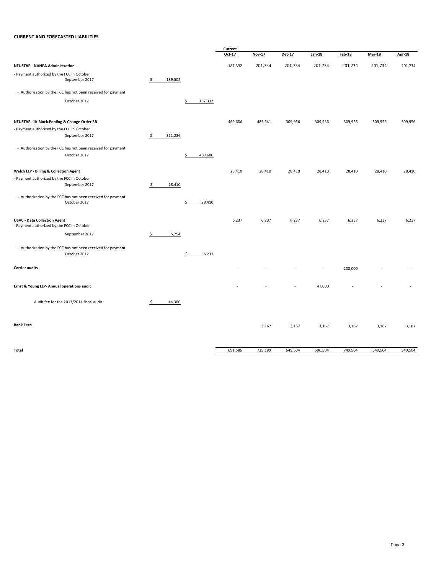#### **CURRENT AND FORECASTED LIABILITIES**

|                                                                                      |               |               | Current |               |         |         |               |               |               |
|--------------------------------------------------------------------------------------|---------------|---------------|---------|---------------|---------|---------|---------------|---------------|---------------|
|                                                                                      |               |               | Oct-17  | <b>Nov-17</b> | Dec-17  | Jan-18  | <b>Feb-18</b> | <b>Mar-18</b> | <b>Apr-18</b> |
| <b>NEUSTAR - NANPA Administration</b>                                                |               |               | 187,332 | 201,734       | 201,734 | 201,734 | 201,734       | 201,734       | 201,734       |
| - Payment authorized by the FCC in October                                           |               |               |         |               |         |         |               |               |               |
| September 2017                                                                       | \$<br>189,502 |               |         |               |         |         |               |               |               |
| - Authorization by the FCC has not been received for payment                         |               |               |         |               |         |         |               |               |               |
| October 2017                                                                         |               | 187,332<br>\$ |         |               |         |         |               |               |               |
|                                                                                      |               |               |         |               |         |         |               |               |               |
| NEUSTAR -1K Block Pooling & Change Order 3B                                          |               |               | 469,606 | 485,641       | 309,956 | 309,956 | 309,956       | 309,956       | 309,956       |
| - Payment authorized by the FCC in October                                           |               |               |         |               |         |         |               |               |               |
| September 2017                                                                       | \$<br>311,286 |               |         |               |         |         |               |               |               |
| - Authorization by the FCC has not been received for payment                         |               |               |         |               |         |         |               |               |               |
| October 2017                                                                         |               | \$<br>469,606 |         |               |         |         |               |               |               |
|                                                                                      |               |               |         |               |         |         |               |               |               |
| Welch LLP - Billing & Collection Agent<br>- Payment authorized by the FCC in October |               |               | 28,410  | 28,410        | 28,410  | 28,410  | 28,410        | 28,410        | 28,410        |
| September 2017                                                                       | \$<br>28,410  |               |         |               |         |         |               |               |               |
|                                                                                      |               |               |         |               |         |         |               |               |               |
| - Authorization by the FCC has not been received for payment<br>October 2017         |               | \$<br>28,410  |         |               |         |         |               |               |               |
|                                                                                      |               |               |         |               |         |         |               |               |               |
| <b>USAC - Data Collection Agent</b>                                                  |               |               | 6,237   | 6,237         | 6,237   | 6,237   | 6,237         | 6,237         | 6,237         |
| - Payment authorized by the FCC in October                                           |               |               |         |               |         |         |               |               |               |
| September 2017                                                                       | \$<br>5,754   |               |         |               |         |         |               |               |               |
| - Authorization by the FCC has not been received for payment                         |               |               |         |               |         |         |               |               |               |
| October 2017                                                                         |               | \$<br>6,237   |         |               |         |         |               |               |               |
| <b>Carrier audits</b>                                                                |               |               |         |               |         |         |               |               |               |
|                                                                                      |               |               |         |               |         |         | 200,000       |               |               |
| Ernst & Young LLP- Annual operations audit                                           |               |               |         |               |         | 47,000  |               |               |               |
|                                                                                      |               |               |         |               |         |         |               |               |               |
| Audit fee for the 2013/2014 fiscal audit                                             | \$<br>44,300  |               |         |               |         |         |               |               |               |
|                                                                                      |               |               |         |               |         |         |               |               |               |
|                                                                                      |               |               |         |               |         |         |               |               |               |
| <b>Bank Fees</b>                                                                     |               |               |         | 3,167         | 3,167   | 3,167   | 3,167         | 3,167         | 3,167         |
|                                                                                      |               |               |         |               |         |         |               |               |               |
| Total                                                                                |               |               | 691,585 | 725,189       | 549,504 | 596,504 | 749,504       | 549,504       | 549,504       |